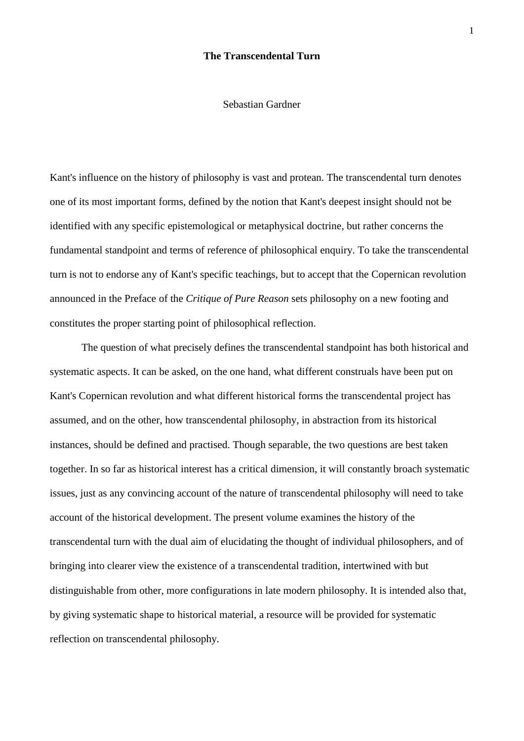### Sebastian Gardner

Kant's influence on the history of philosophy is vast and protean. The transcendental turn denotes one of its most important forms, defined by the notion that Kant's deepest insight should not be identified with any specific epistemological or metaphysical doctrine, but rather concerns the fundamental standpoint and terms of reference of philosophical enquiry. To take the transcendental turn is not to endorse any of Kant's specific teachings, but to accept that the Copernican revolution announced in the Preface of the *Critique of Pure Reason* sets philosophy on a new footing and constitutes the proper starting point of philosophical reflection.

The question of what precisely defines the transcendental standpoint has both historical and systematic aspects. It can be asked, on the one hand, what different construals have been put on Kant's Copernican revolution and what different historical forms the transcendental project has assumed, and on the other, how transcendental philosophy, in abstraction from its historical instances, should be defined and practised. Though separable, the two questions are best taken together. In so far as historical interest has a critical dimension, it will constantly broach systematic issues, just as any convincing account of the nature of transcendental philosophy will need to take account of the historical development. The present volume examines the history of the transcendental turn with the dual aim of elucidating the thought of individual philosophers, and of bringing into clearer view the existence of a transcendental tradition, intertwined with but distinguishable from other, more configurations in late modern philosophy. It is intended also that, by giving systematic shape to historical material, a resource will be provided for systematic reflection on transcendental philosophy.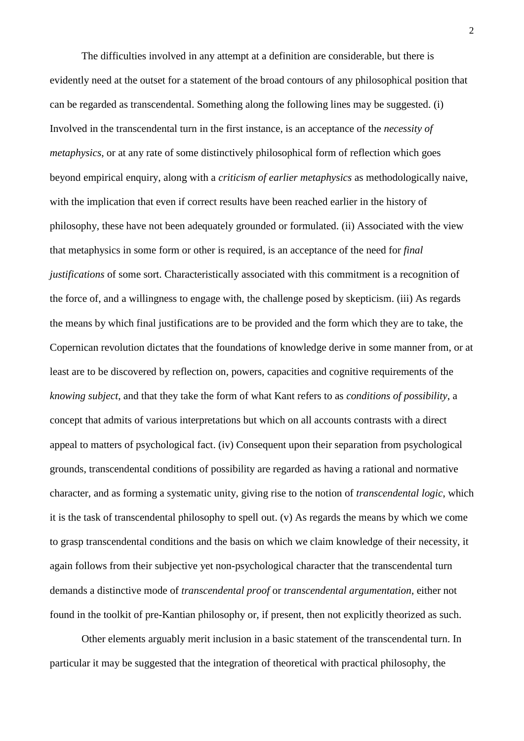The difficulties involved in any attempt at a definition are considerable, but there is evidently need at the outset for a statement of the broad contours of any philosophical position that can be regarded as transcendental. Something along the following lines may be suggested. (i) Involved in the transcendental turn in the first instance, is an acceptance of the *necessity of metaphysics*, or at any rate of some distinctively philosophical form of reflection which goes beyond empirical enquiry, along with a *criticism of earlier metaphysics* as methodologically naive, with the implication that even if correct results have been reached earlier in the history of philosophy, these have not been adequately grounded or formulated. (ii) Associated with the view that metaphysics in some form or other is required, is an acceptance of the need for *final justifications* of some sort. Characteristically associated with this commitment is a recognition of the force of, and a willingness to engage with, the challenge posed by skepticism. (iii) As regards the means by which final justifications are to be provided and the form which they are to take, the Copernican revolution dictates that the foundations of knowledge derive in some manner from, or at least are to be discovered by reflection on, powers, capacities and cognitive requirements of the *knowing subject*, and that they take the form of what Kant refers to as *conditions of possibility*, a concept that admits of various interpretations but which on all accounts contrasts with a direct appeal to matters of psychological fact. (iv) Consequent upon their separation from psychological grounds, transcendental conditions of possibility are regarded as having a rational and normative character, and as forming a systematic unity, giving rise to the notion of *transcendental logic*, which it is the task of transcendental philosophy to spell out. (v) As regards the means by which we come to grasp transcendental conditions and the basis on which we claim knowledge of their necessity, it again follows from their subjective yet non-psychological character that the transcendental turn demands a distinctive mode of *transcendental proof* or *transcendental argumentation*, either not found in the toolkit of pre-Kantian philosophy or, if present, then not explicitly theorized as such.

Other elements arguably merit inclusion in a basic statement of the transcendental turn. In particular it may be suggested that the integration of theoretical with practical philosophy, the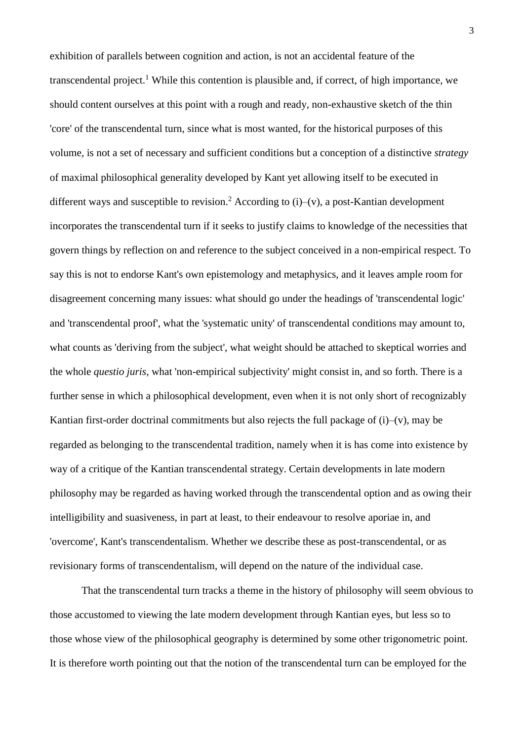exhibition of parallels between cognition and action, is not an accidental feature of the transcendental project.<sup>1</sup> While this contention is plausible and, if correct, of high importance, we should content ourselves at this point with a rough and ready, non-exhaustive sketch of the thin 'core' of the transcendental turn, since what is most wanted, for the historical purposes of this volume, is not a set of necessary and sufficient conditions but a conception of a distinctive *strategy* of maximal philosophical generality developed by Kant yet allowing itself to be executed in different ways and susceptible to revision.<sup>2</sup> According to (i)–(v), a post-Kantian development incorporates the transcendental turn if it seeks to justify claims to knowledge of the necessities that govern things by reflection on and reference to the subject conceived in a non-empirical respect. To say this is not to endorse Kant's own epistemology and metaphysics, and it leaves ample room for disagreement concerning many issues: what should go under the headings of 'transcendental logic' and 'transcendental proof', what the 'systematic unity' of transcendental conditions may amount to, what counts as 'deriving from the subject', what weight should be attached to skeptical worries and the whole *questio juris*, what 'non-empirical subjectivity' might consist in, and so forth. There is a further sense in which a philosophical development, even when it is not only short of recognizably Kantian first-order doctrinal commitments but also rejects the full package of  $(i)$ – $(v)$ , may be regarded as belonging to the transcendental tradition, namely when it is has come into existence by way of a critique of the Kantian transcendental strategy. Certain developments in late modern philosophy may be regarded as having worked through the transcendental option and as owing their intelligibility and suasiveness, in part at least, to their endeavour to resolve aporiae in, and 'overcome', Kant's transcendentalism. Whether we describe these as post-transcendental, or as revisionary forms of transcendentalism, will depend on the nature of the individual case.

That the transcendental turn tracks a theme in the history of philosophy will seem obvious to those accustomed to viewing the late modern development through Kantian eyes, but less so to those whose view of the philosophical geography is determined by some other trigonometric point. It is therefore worth pointing out that the notion of the transcendental turn can be employed for the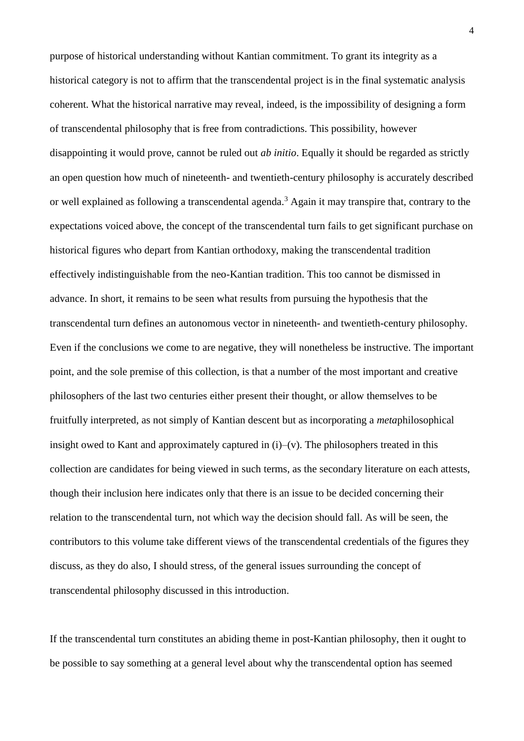purpose of historical understanding without Kantian commitment. To grant its integrity as a historical category is not to affirm that the transcendental project is in the final systematic analysis coherent. What the historical narrative may reveal, indeed, is the impossibility of designing a form of transcendental philosophy that is free from contradictions. This possibility, however disappointing it would prove, cannot be ruled out *ab initio*. Equally it should be regarded as strictly an open question how much of nineteenth- and twentieth-century philosophy is accurately described or well explained as following a transcendental agenda.<sup>3</sup> Again it may transpire that, contrary to the expectations voiced above, the concept of the transcendental turn fails to get significant purchase on historical figures who depart from Kantian orthodoxy, making the transcendental tradition effectively indistinguishable from the neo-Kantian tradition. This too cannot be dismissed in advance. In short, it remains to be seen what results from pursuing the hypothesis that the transcendental turn defines an autonomous vector in nineteenth- and twentieth-century philosophy. Even if the conclusions we come to are negative, they will nonetheless be instructive. The important point, and the sole premise of this collection, is that a number of the most important and creative philosophers of the last two centuries either present their thought, or allow themselves to be fruitfully interpreted, as not simply of Kantian descent but as incorporating a *meta*philosophical insight owed to Kant and approximately captured in  $(i)$ – $(v)$ . The philosophers treated in this collection are candidates for being viewed in such terms, as the secondary literature on each attests, though their inclusion here indicates only that there is an issue to be decided concerning their relation to the transcendental turn, not which way the decision should fall. As will be seen, the contributors to this volume take different views of the transcendental credentials of the figures they discuss, as they do also, I should stress, of the general issues surrounding the concept of transcendental philosophy discussed in this introduction.

If the transcendental turn constitutes an abiding theme in post-Kantian philosophy, then it ought to be possible to say something at a general level about why the transcendental option has seemed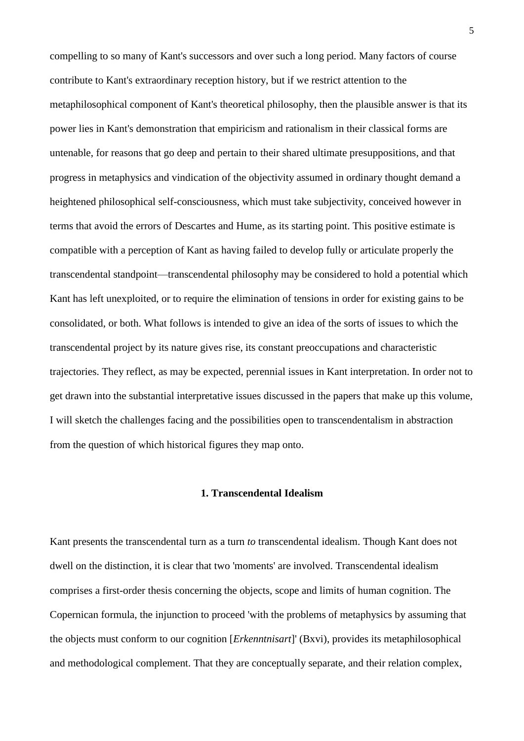compelling to so many of Kant's successors and over such a long period. Many factors of course contribute to Kant's extraordinary reception history, but if we restrict attention to the metaphilosophical component of Kant's theoretical philosophy, then the plausible answer is that its power lies in Kant's demonstration that empiricism and rationalism in their classical forms are untenable, for reasons that go deep and pertain to their shared ultimate presuppositions, and that progress in metaphysics and vindication of the objectivity assumed in ordinary thought demand a heightened philosophical self-consciousness, which must take subjectivity, conceived however in terms that avoid the errors of Descartes and Hume, as its starting point. This positive estimate is compatible with a perception of Kant as having failed to develop fully or articulate properly the transcendental standpoint—transcendental philosophy may be considered to hold a potential which Kant has left unexploited, or to require the elimination of tensions in order for existing gains to be consolidated, or both. What follows is intended to give an idea of the sorts of issues to which the transcendental project by its nature gives rise, its constant preoccupations and characteristic trajectories. They reflect, as may be expected, perennial issues in Kant interpretation. In order not to get drawn into the substantial interpretative issues discussed in the papers that make up this volume, I will sketch the challenges facing and the possibilities open to transcendentalism in abstraction from the question of which historical figures they map onto.

### **1. Transcendental Idealism**

Kant presents the transcendental turn as a turn *to* transcendental idealism. Though Kant does not dwell on the distinction, it is clear that two 'moments' are involved. Transcendental idealism comprises a first-order thesis concerning the objects, scope and limits of human cognition. The Copernican formula, the injunction to proceed 'with the problems of metaphysics by assuming that the objects must conform to our cognition [*Erkenntnisart*]' (Bxvi), provides its metaphilosophical and methodological complement. That they are conceptually separate, and their relation complex,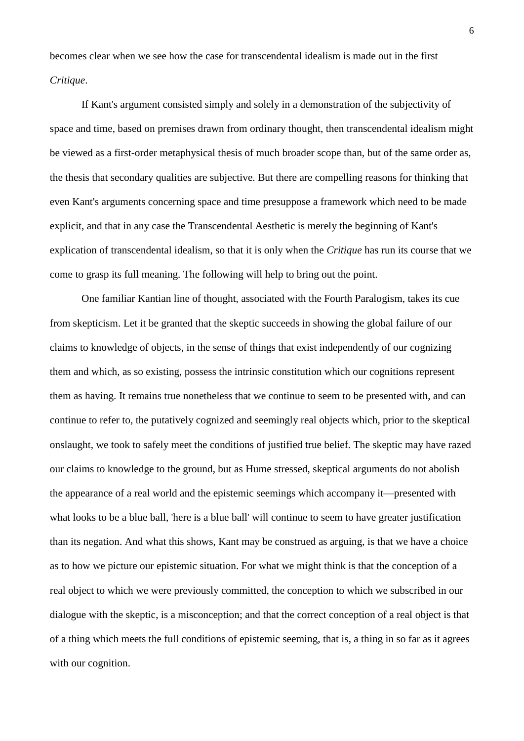becomes clear when we see how the case for transcendental idealism is made out in the first *Critique*.

If Kant's argument consisted simply and solely in a demonstration of the subjectivity of space and time, based on premises drawn from ordinary thought, then transcendental idealism might be viewed as a first-order metaphysical thesis of much broader scope than, but of the same order as, the thesis that secondary qualities are subjective. But there are compelling reasons for thinking that even Kant's arguments concerning space and time presuppose a framework which need to be made explicit, and that in any case the Transcendental Aesthetic is merely the beginning of Kant's explication of transcendental idealism, so that it is only when the *Critique* has run its course that we come to grasp its full meaning. The following will help to bring out the point.

One familiar Kantian line of thought, associated with the Fourth Paralogism, takes its cue from skepticism. Let it be granted that the skeptic succeeds in showing the global failure of our claims to knowledge of objects, in the sense of things that exist independently of our cognizing them and which, as so existing, possess the intrinsic constitution which our cognitions represent them as having. It remains true nonetheless that we continue to seem to be presented with, and can continue to refer to, the putatively cognized and seemingly real objects which, prior to the skeptical onslaught, we took to safely meet the conditions of justified true belief. The skeptic may have razed our claims to knowledge to the ground, but as Hume stressed, skeptical arguments do not abolish the appearance of a real world and the epistemic seemings which accompany it—presented with what looks to be a blue ball, 'here is a blue ball' will continue to seem to have greater justification than its negation. And what this shows, Kant may be construed as arguing, is that we have a choice as to how we picture our epistemic situation. For what we might think is that the conception of a real object to which we were previously committed, the conception to which we subscribed in our dialogue with the skeptic, is a misconception; and that the correct conception of a real object is that of a thing which meets the full conditions of epistemic seeming, that is, a thing in so far as it agrees with our cognition.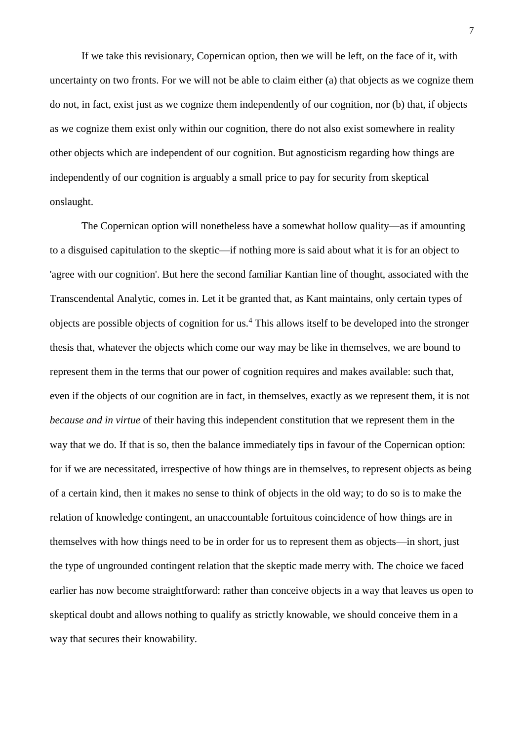If we take this revisionary, Copernican option, then we will be left, on the face of it, with uncertainty on two fronts. For we will not be able to claim either (a) that objects as we cognize them do not, in fact, exist just as we cognize them independently of our cognition, nor (b) that, if objects as we cognize them exist only within our cognition, there do not also exist somewhere in reality other objects which are independent of our cognition. But agnosticism regarding how things are independently of our cognition is arguably a small price to pay for security from skeptical onslaught.

The Copernican option will nonetheless have a somewhat hollow quality—as if amounting to a disguised capitulation to the skeptic—if nothing more is said about what it is for an object to 'agree with our cognition'. But here the second familiar Kantian line of thought, associated with the Transcendental Analytic, comes in. Let it be granted that, as Kant maintains, only certain types of objects are possible objects of cognition for us.<sup>4</sup> This allows itself to be developed into the stronger thesis that, whatever the objects which come our way may be like in themselves, we are bound to represent them in the terms that our power of cognition requires and makes available: such that, even if the objects of our cognition are in fact, in themselves, exactly as we represent them, it is not *because and in virtue* of their having this independent constitution that we represent them in the way that we do. If that is so, then the balance immediately tips in favour of the Copernican option: for if we are necessitated, irrespective of how things are in themselves, to represent objects as being of a certain kind, then it makes no sense to think of objects in the old way; to do so is to make the relation of knowledge contingent, an unaccountable fortuitous coincidence of how things are in themselves with how things need to be in order for us to represent them as objects—in short, just the type of ungrounded contingent relation that the skeptic made merry with. The choice we faced earlier has now become straightforward: rather than conceive objects in a way that leaves us open to skeptical doubt and allows nothing to qualify as strictly knowable, we should conceive them in a way that secures their knowability.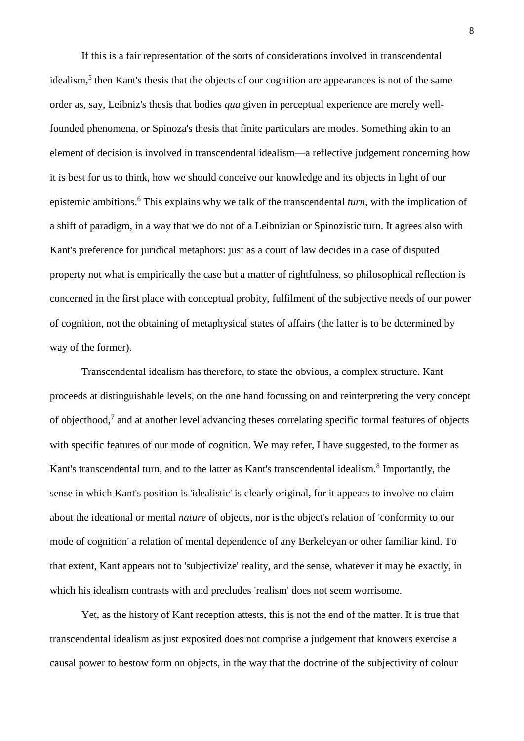If this is a fair representation of the sorts of considerations involved in transcendental idealism,<sup>5</sup> then Kant's thesis that the objects of our cognition are appearances is not of the same order as, say, Leibniz's thesis that bodies *qua* given in perceptual experience are merely wellfounded phenomena, or Spinoza's thesis that finite particulars are modes. Something akin to an element of decision is involved in transcendental idealism—a reflective judgement concerning how it is best for us to think, how we should conceive our knowledge and its objects in light of our epistemic ambitions.<sup>6</sup> This explains why we talk of the transcendental *turn*, with the implication of a shift of paradigm, in a way that we do not of a Leibnizian or Spinozistic turn. It agrees also with Kant's preference for juridical metaphors: just as a court of law decides in a case of disputed property not what is empirically the case but a matter of rightfulness, so philosophical reflection is concerned in the first place with conceptual probity, fulfilment of the subjective needs of our power of cognition, not the obtaining of metaphysical states of affairs (the latter is to be determined by way of the former).

Transcendental idealism has therefore, to state the obvious, a complex structure. Kant proceeds at distinguishable levels, on the one hand focussing on and reinterpreting the very concept of objecthood, $<sup>7</sup>$  and at another level advancing theses correlating specific formal features of objects</sup> with specific features of our mode of cognition. We may refer, I have suggested, to the former as Kant's transcendental turn, and to the latter as Kant's transcendental idealism.<sup>8</sup> Importantly, the sense in which Kant's position is 'idealistic' is clearly original, for it appears to involve no claim about the ideational or mental *nature* of objects, nor is the object's relation of 'conformity to our mode of cognition' a relation of mental dependence of any Berkeleyan or other familiar kind. To that extent, Kant appears not to 'subjectivize' reality, and the sense, whatever it may be exactly, in which his idealism contrasts with and precludes 'realism' does not seem worrisome.

Yet, as the history of Kant reception attests, this is not the end of the matter. It is true that transcendental idealism as just exposited does not comprise a judgement that knowers exercise a causal power to bestow form on objects, in the way that the doctrine of the subjectivity of colour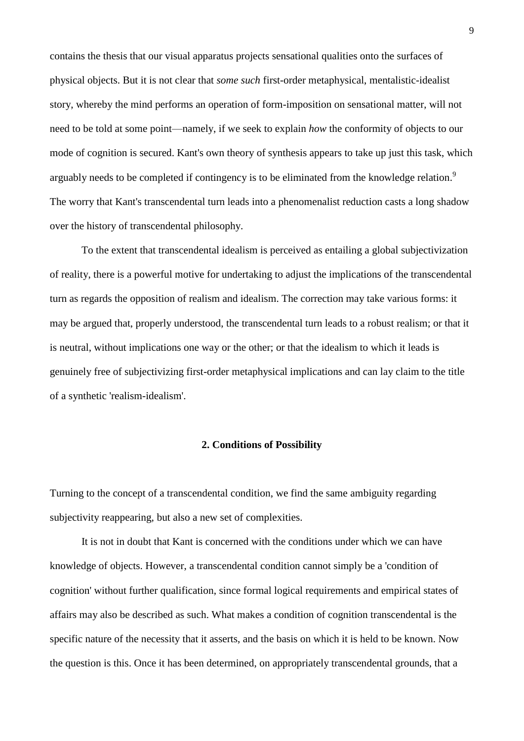contains the thesis that our visual apparatus projects sensational qualities onto the surfaces of physical objects. But it is not clear that *some such* first-order metaphysical, mentalistic-idealist story, whereby the mind performs an operation of form-imposition on sensational matter, will not need to be told at some point—namely, if we seek to explain *how* the conformity of objects to our mode of cognition is secured. Kant's own theory of synthesis appears to take up just this task, which arguably needs to be completed if contingency is to be eliminated from the knowledge relation.<sup>9</sup> The worry that Kant's transcendental turn leads into a phenomenalist reduction casts a long shadow over the history of transcendental philosophy.

To the extent that transcendental idealism is perceived as entailing a global subjectivization of reality, there is a powerful motive for undertaking to adjust the implications of the transcendental turn as regards the opposition of realism and idealism. The correction may take various forms: it may be argued that, properly understood, the transcendental turn leads to a robust realism; or that it is neutral, without implications one way or the other; or that the idealism to which it leads is genuinely free of subjectivizing first-order metaphysical implications and can lay claim to the title of a synthetic 'realism-idealism'.

#### **2. Conditions of Possibility**

Turning to the concept of a transcendental condition, we find the same ambiguity regarding subjectivity reappearing, but also a new set of complexities.

It is not in doubt that Kant is concerned with the conditions under which we can have knowledge of objects. However, a transcendental condition cannot simply be a 'condition of cognition' without further qualification, since formal logical requirements and empirical states of affairs may also be described as such. What makes a condition of cognition transcendental is the specific nature of the necessity that it asserts, and the basis on which it is held to be known. Now the question is this. Once it has been determined, on appropriately transcendental grounds, that a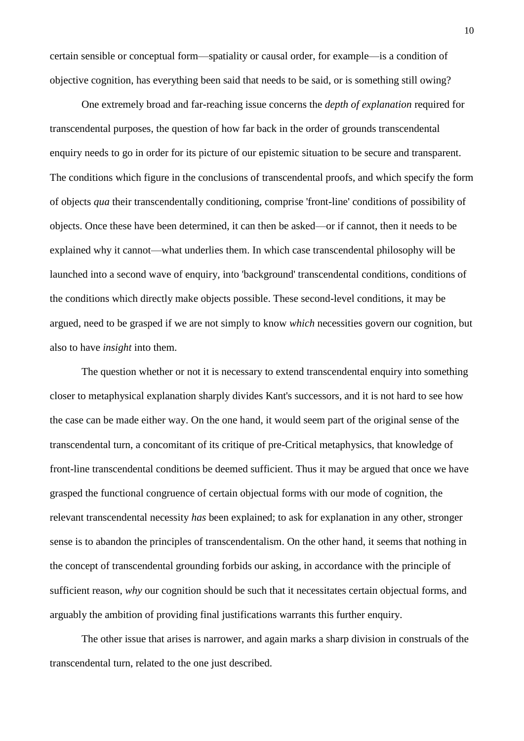certain sensible or conceptual form—spatiality or causal order, for example—is a condition of objective cognition, has everything been said that needs to be said, or is something still owing?

One extremely broad and far-reaching issue concerns the *depth of explanation* required for transcendental purposes, the question of how far back in the order of grounds transcendental enquiry needs to go in order for its picture of our epistemic situation to be secure and transparent. The conditions which figure in the conclusions of transcendental proofs, and which specify the form of objects *qua* their transcendentally conditioning, comprise 'front-line' conditions of possibility of objects. Once these have been determined, it can then be asked—or if cannot, then it needs to be explained why it cannot—what underlies them. In which case transcendental philosophy will be launched into a second wave of enquiry, into 'background' transcendental conditions, conditions of the conditions which directly make objects possible. These second-level conditions, it may be argued, need to be grasped if we are not simply to know *which* necessities govern our cognition, but also to have *insight* into them.

The question whether or not it is necessary to extend transcendental enquiry into something closer to metaphysical explanation sharply divides Kant's successors, and it is not hard to see how the case can be made either way. On the one hand, it would seem part of the original sense of the transcendental turn, a concomitant of its critique of pre-Critical metaphysics, that knowledge of front-line transcendental conditions be deemed sufficient. Thus it may be argued that once we have grasped the functional congruence of certain objectual forms with our mode of cognition, the relevant transcendental necessity *has* been explained; to ask for explanation in any other, stronger sense is to abandon the principles of transcendentalism. On the other hand, it seems that nothing in the concept of transcendental grounding forbids our asking, in accordance with the principle of sufficient reason, *why* our cognition should be such that it necessitates certain objectual forms, and arguably the ambition of providing final justifications warrants this further enquiry.

The other issue that arises is narrower, and again marks a sharp division in construals of the transcendental turn, related to the one just described.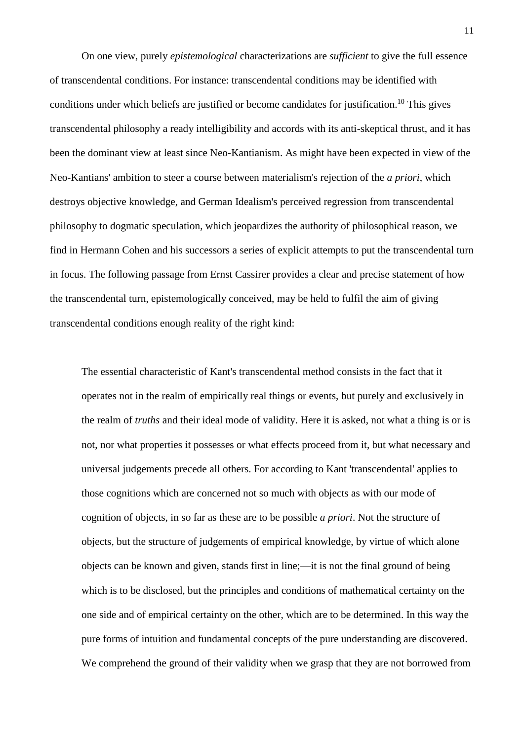On one view, purely *epistemological* characterizations are *sufficient* to give the full essence of transcendental conditions. For instance: transcendental conditions may be identified with conditions under which beliefs are justified or become candidates for justification.<sup>10</sup> This gives transcendental philosophy a ready intelligibility and accords with its anti-skeptical thrust, and it has been the dominant view at least since Neo-Kantianism. As might have been expected in view of the Neo-Kantians' ambition to steer a course between materialism's rejection of the *a priori*, which destroys objective knowledge, and German Idealism's perceived regression from transcendental philosophy to dogmatic speculation, which jeopardizes the authority of philosophical reason, we find in Hermann Cohen and his successors a series of explicit attempts to put the transcendental turn in focus. The following passage from Ernst Cassirer provides a clear and precise statement of how the transcendental turn, epistemologically conceived, may be held to fulfil the aim of giving transcendental conditions enough reality of the right kind:

The essential characteristic of Kant's transcendental method consists in the fact that it operates not in the realm of empirically real things or events, but purely and exclusively in the realm of *truths* and their ideal mode of validity. Here it is asked, not what a thing is or is not, nor what properties it possesses or what effects proceed from it, but what necessary and universal judgements precede all others. For according to Kant 'transcendental' applies to those cognitions which are concerned not so much with objects as with our mode of cognition of objects, in so far as these are to be possible *a priori*. Not the structure of objects, but the structure of judgements of empirical knowledge, by virtue of which alone objects can be known and given, stands first in line;—it is not the final ground of being which is to be disclosed, but the principles and conditions of mathematical certainty on the one side and of empirical certainty on the other, which are to be determined. In this way the pure forms of intuition and fundamental concepts of the pure understanding are discovered. We comprehend the ground of their validity when we grasp that they are not borrowed from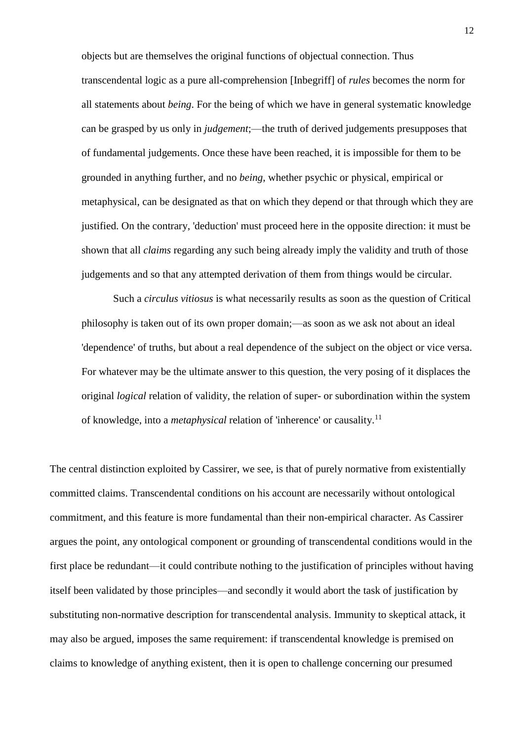objects but are themselves the original functions of objectual connection. Thus transcendental logic as a pure all-comprehension [Inbegriff] of *rules* becomes the norm for all statements about *being*. For the being of which we have in general systematic knowledge can be grasped by us only in *judgement*;—the truth of derived judgements presupposes that of fundamental judgements. Once these have been reached, it is impossible for them to be grounded in anything further, and no *being*, whether psychic or physical, empirical or metaphysical, can be designated as that on which they depend or that through which they are justified. On the contrary, 'deduction' must proceed here in the opposite direction: it must be shown that all *claims* regarding any such being already imply the validity and truth of those judgements and so that any attempted derivation of them from things would be circular.

Such a *circulus vitiosus* is what necessarily results as soon as the question of Critical philosophy is taken out of its own proper domain;—as soon as we ask not about an ideal 'dependence' of truths, but about a real dependence of the subject on the object or vice versa. For whatever may be the ultimate answer to this question, the very posing of it displaces the original *logical* relation of validity, the relation of super- or subordination within the system of knowledge, into a *metaphysical* relation of 'inherence' or causality.<sup>11</sup>

The central distinction exploited by Cassirer, we see, is that of purely normative from existentially committed claims. Transcendental conditions on his account are necessarily without ontological commitment, and this feature is more fundamental than their non-empirical character. As Cassirer argues the point, any ontological component or grounding of transcendental conditions would in the first place be redundant—it could contribute nothing to the justification of principles without having itself been validated by those principles—and secondly it would abort the task of justification by substituting non-normative description for transcendental analysis. Immunity to skeptical attack, it may also be argued, imposes the same requirement: if transcendental knowledge is premised on claims to knowledge of anything existent, then it is open to challenge concerning our presumed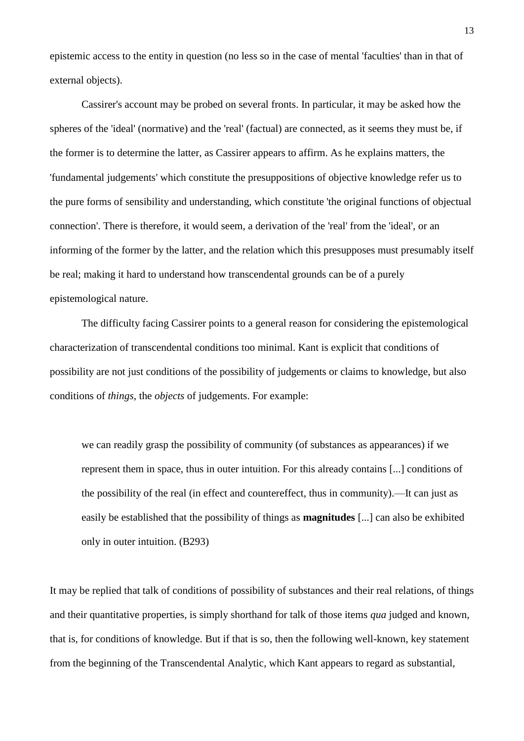epistemic access to the entity in question (no less so in the case of mental 'faculties' than in that of external objects).

Cassirer's account may be probed on several fronts. In particular, it may be asked how the spheres of the 'ideal' (normative) and the 'real' (factual) are connected, as it seems they must be, if the former is to determine the latter, as Cassirer appears to affirm. As he explains matters, the 'fundamental judgements' which constitute the presuppositions of objective knowledge refer us to the pure forms of sensibility and understanding, which constitute 'the original functions of objectual connection'. There is therefore, it would seem, a derivation of the 'real' from the 'ideal', or an informing of the former by the latter, and the relation which this presupposes must presumably itself be real; making it hard to understand how transcendental grounds can be of a purely epistemological nature.

The difficulty facing Cassirer points to a general reason for considering the epistemological characterization of transcendental conditions too minimal. Kant is explicit that conditions of possibility are not just conditions of the possibility of judgements or claims to knowledge, but also conditions of *things*, the *objects* of judgements. For example:

we can readily grasp the possibility of community (of substances as appearances) if we represent them in space, thus in outer intuition. For this already contains [...] conditions of the possibility of the real (in effect and countereffect, thus in community).—It can just as easily be established that the possibility of things as **magnitudes** [...] can also be exhibited only in outer intuition. (B293)

It may be replied that talk of conditions of possibility of substances and their real relations, of things and their quantitative properties, is simply shorthand for talk of those items *qua* judged and known, that is, for conditions of knowledge. But if that is so, then the following well-known, key statement from the beginning of the Transcendental Analytic, which Kant appears to regard as substantial,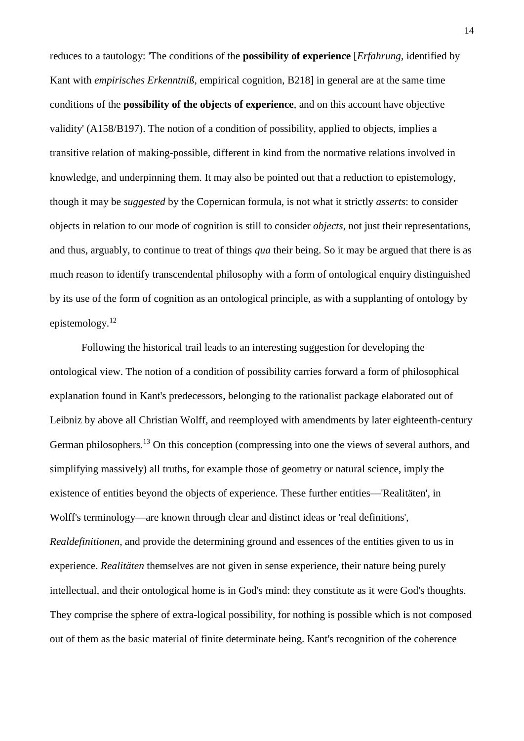reduces to a tautology: 'The conditions of the **possibility of experience** [*Erfahrung*, identified by Kant with *empirisches Erkenntniß*, empirical cognition, B218] in general are at the same time conditions of the **possibility of the objects of experience**, and on this account have objective validity' (A158/B197). The notion of a condition of possibility, applied to objects, implies a transitive relation of making-possible, different in kind from the normative relations involved in knowledge, and underpinning them. It may also be pointed out that a reduction to epistemology, though it may be *suggested* by the Copernican formula, is not what it strictly *asserts*: to consider objects in relation to our mode of cognition is still to consider *objects*, not just their representations, and thus, arguably, to continue to treat of things *qua* their being. So it may be argued that there is as much reason to identify transcendental philosophy with a form of ontological enquiry distinguished by its use of the form of cognition as an ontological principle, as with a supplanting of ontology by epistemology. $12$ 

Following the historical trail leads to an interesting suggestion for developing the ontological view. The notion of a condition of possibility carries forward a form of philosophical explanation found in Kant's predecessors, belonging to the rationalist package elaborated out of Leibniz by above all Christian Wolff, and reemployed with amendments by later eighteenth-century German philosophers.<sup>13</sup> On this conception (compressing into one the views of several authors, and simplifying massively) all truths, for example those of geometry or natural science, imply the existence of entities beyond the objects of experience. These further entities—'Realitäten', in Wolff's terminology—are known through clear and distinct ideas or 'real definitions', *Realdefinitionen*, and provide the determining ground and essences of the entities given to us in experience. *Realitäten* themselves are not given in sense experience, their nature being purely intellectual, and their ontological home is in God's mind: they constitute as it were God's thoughts. They comprise the sphere of extra-logical possibility, for nothing is possible which is not composed out of them as the basic material of finite determinate being. Kant's recognition of the coherence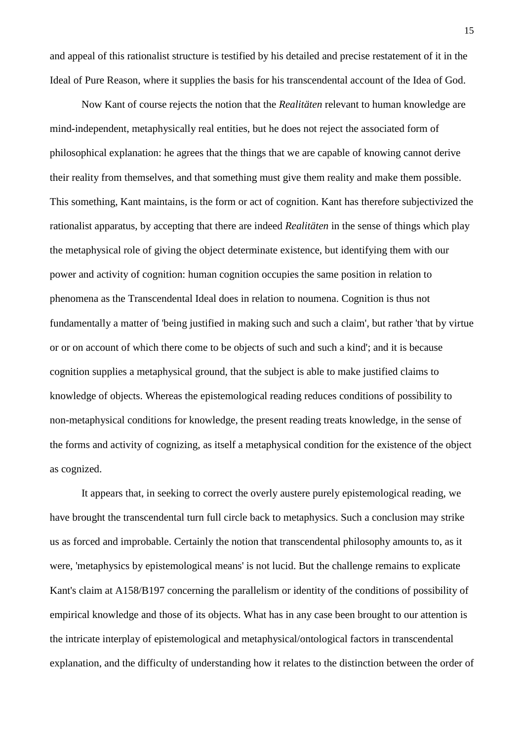and appeal of this rationalist structure is testified by his detailed and precise restatement of it in the Ideal of Pure Reason, where it supplies the basis for his transcendental account of the Idea of God.

Now Kant of course rejects the notion that the *Realitäten* relevant to human knowledge are mind-independent, metaphysically real entities, but he does not reject the associated form of philosophical explanation: he agrees that the things that we are capable of knowing cannot derive their reality from themselves, and that something must give them reality and make them possible. This something, Kant maintains, is the form or act of cognition. Kant has therefore subjectivized the rationalist apparatus, by accepting that there are indeed *Realitäten* in the sense of things which play the metaphysical role of giving the object determinate existence, but identifying them with our power and activity of cognition: human cognition occupies the same position in relation to phenomena as the Transcendental Ideal does in relation to noumena. Cognition is thus not fundamentally a matter of 'being justified in making such and such a claim', but rather 'that by virtue or or on account of which there come to be objects of such and such a kind'; and it is because cognition supplies a metaphysical ground, that the subject is able to make justified claims to knowledge of objects. Whereas the epistemological reading reduces conditions of possibility to non-metaphysical conditions for knowledge, the present reading treats knowledge, in the sense of the forms and activity of cognizing, as itself a metaphysical condition for the existence of the object as cognized.

It appears that, in seeking to correct the overly austere purely epistemological reading, we have brought the transcendental turn full circle back to metaphysics. Such a conclusion may strike us as forced and improbable. Certainly the notion that transcendental philosophy amounts to, as it were, 'metaphysics by epistemological means' is not lucid. But the challenge remains to explicate Kant's claim at A158/B197 concerning the parallelism or identity of the conditions of possibility of empirical knowledge and those of its objects. What has in any case been brought to our attention is the intricate interplay of epistemological and metaphysical/ontological factors in transcendental explanation, and the difficulty of understanding how it relates to the distinction between the order of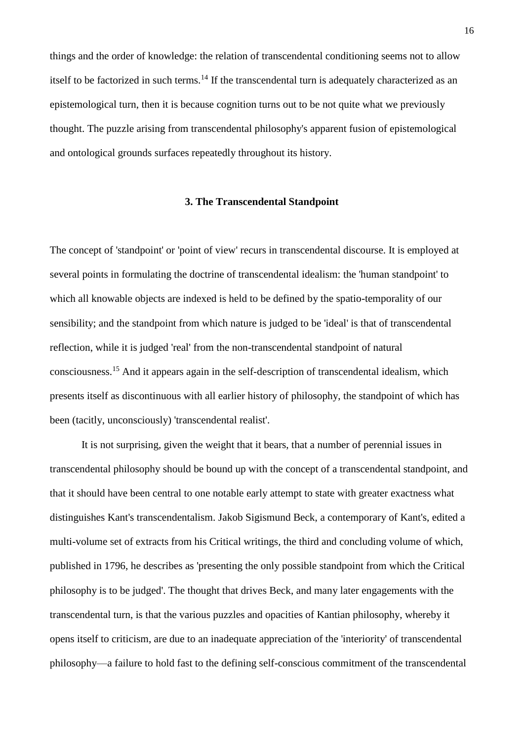things and the order of knowledge: the relation of transcendental conditioning seems not to allow itself to be factorized in such terms.<sup>14</sup> If the transcendental turn is adequately characterized as an epistemological turn, then it is because cognition turns out to be not quite what we previously thought. The puzzle arising from transcendental philosophy's apparent fusion of epistemological and ontological grounds surfaces repeatedly throughout its history.

# **3. The Transcendental Standpoint**

The concept of 'standpoint' or 'point of view' recurs in transcendental discourse. It is employed at several points in formulating the doctrine of transcendental idealism: the 'human standpoint' to which all knowable objects are indexed is held to be defined by the spatio-temporality of our sensibility; and the standpoint from which nature is judged to be 'ideal' is that of transcendental reflection, while it is judged 'real' from the non-transcendental standpoint of natural consciousness.<sup>15</sup> And it appears again in the self-description of transcendental idealism, which presents itself as discontinuous with all earlier history of philosophy, the standpoint of which has been (tacitly, unconsciously) 'transcendental realist'.

It is not surprising, given the weight that it bears, that a number of perennial issues in transcendental philosophy should be bound up with the concept of a transcendental standpoint, and that it should have been central to one notable early attempt to state with greater exactness what distinguishes Kant's transcendentalism. Jakob Sigismund Beck, a contemporary of Kant's, edited a multi-volume set of extracts from his Critical writings, the third and concluding volume of which, published in 1796, he describes as 'presenting the only possible standpoint from which the Critical philosophy is to be judged'. The thought that drives Beck, and many later engagements with the transcendental turn, is that the various puzzles and opacities of Kantian philosophy, whereby it opens itself to criticism, are due to an inadequate appreciation of the 'interiority' of transcendental philosophy—a failure to hold fast to the defining self-conscious commitment of the transcendental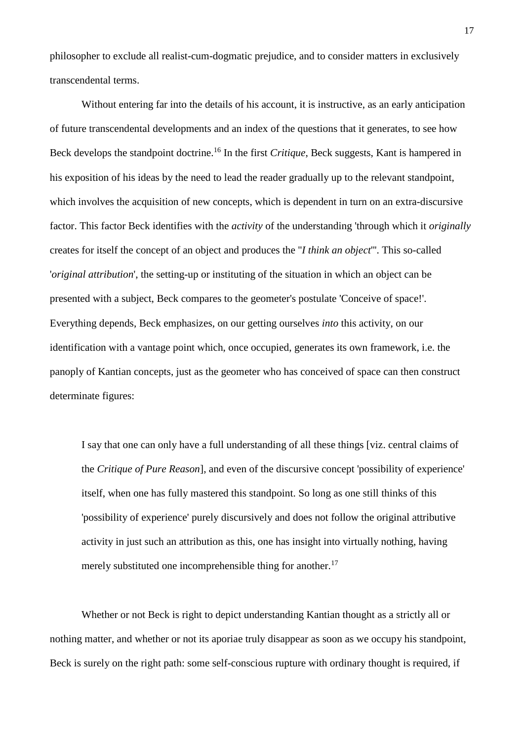philosopher to exclude all realist-cum-dogmatic prejudice, and to consider matters in exclusively transcendental terms.

Without entering far into the details of his account, it is instructive, as an early anticipation of future transcendental developments and an index of the questions that it generates, to see how Beck develops the standpoint doctrine.<sup>16</sup> In the first *Critique*, Beck suggests, Kant is hampered in his exposition of his ideas by the need to lead the reader gradually up to the relevant standpoint, which involves the acquisition of new concepts, which is dependent in turn on an extra-discursive factor. This factor Beck identifies with the *activity* of the understanding 'through which it *originally* creates for itself the concept of an object and produces the ''*I think an object*'''. This so-called '*original attribution*', the setting-up or instituting of the situation in which an object can be presented with a subject, Beck compares to the geometer's postulate 'Conceive of space!'. Everything depends, Beck emphasizes, on our getting ourselves *into* this activity, on our identification with a vantage point which, once occupied, generates its own framework, i.e. the panoply of Kantian concepts, just as the geometer who has conceived of space can then construct determinate figures:

I say that one can only have a full understanding of all these things [viz. central claims of the *Critique of Pure Reason*], and even of the discursive concept 'possibility of experience' itself, when one has fully mastered this standpoint. So long as one still thinks of this 'possibility of experience' purely discursively and does not follow the original attributive activity in just such an attribution as this, one has insight into virtually nothing, having merely substituted one incomprehensible thing for another.<sup>17</sup>

Whether or not Beck is right to depict understanding Kantian thought as a strictly all or nothing matter, and whether or not its aporiae truly disappear as soon as we occupy his standpoint, Beck is surely on the right path: some self-conscious rupture with ordinary thought is required, if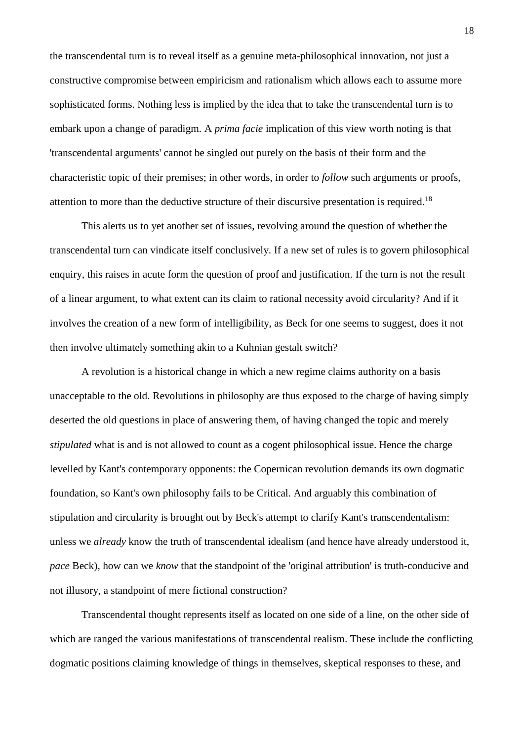the transcendental turn is to reveal itself as a genuine meta-philosophical innovation, not just a constructive compromise between empiricism and rationalism which allows each to assume more sophisticated forms. Nothing less is implied by the idea that to take the transcendental turn is to embark upon a change of paradigm. A *prima facie* implication of this view worth noting is that 'transcendental arguments' cannot be singled out purely on the basis of their form and the characteristic topic of their premises; in other words, in order to *follow* such arguments or proofs, attention to more than the deductive structure of their discursive presentation is required.<sup>18</sup>

This alerts us to yet another set of issues, revolving around the question of whether the transcendental turn can vindicate itself conclusively. If a new set of rules is to govern philosophical enquiry, this raises in acute form the question of proof and justification. If the turn is not the result of a linear argument, to what extent can its claim to rational necessity avoid circularity? And if it involves the creation of a new form of intelligibility, as Beck for one seems to suggest, does it not then involve ultimately something akin to a Kuhnian gestalt switch?

A revolution is a historical change in which a new regime claims authority on a basis unacceptable to the old. Revolutions in philosophy are thus exposed to the charge of having simply deserted the old questions in place of answering them, of having changed the topic and merely *stipulated* what is and is not allowed to count as a cogent philosophical issue. Hence the charge levelled by Kant's contemporary opponents: the Copernican revolution demands its own dogmatic foundation, so Kant's own philosophy fails to be Critical. And arguably this combination of stipulation and circularity is brought out by Beck's attempt to clarify Kant's transcendentalism: unless we *already* know the truth of transcendental idealism (and hence have already understood it, *pace* Beck), how can we *know* that the standpoint of the 'original attribution' is truth-conducive and not illusory, a standpoint of mere fictional construction?

Transcendental thought represents itself as located on one side of a line, on the other side of which are ranged the various manifestations of transcendental realism. These include the conflicting dogmatic positions claiming knowledge of things in themselves, skeptical responses to these, and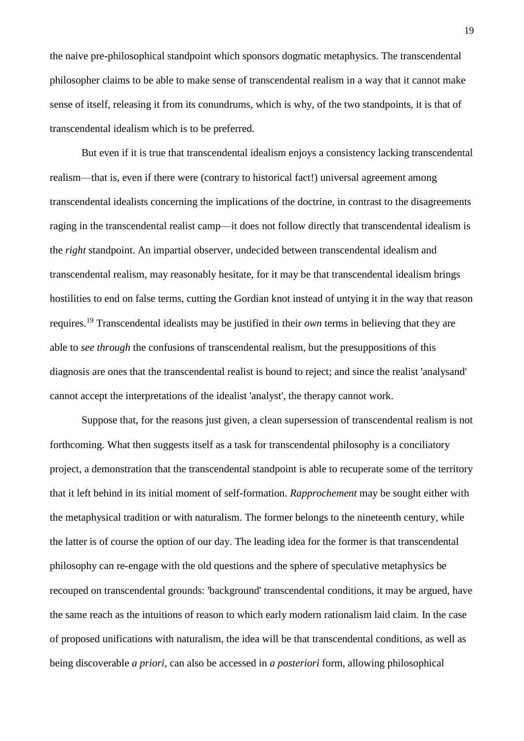the naive pre-philosophical standpoint which sponsors dogmatic metaphysics. The transcendental philosopher claims to be able to make sense of transcendental realism in a way that it cannot make sense of itself, releasing it from its conundrums, which is why, of the two standpoints, it is that of transcendental idealism which is to be preferred.

But even if it is true that transcendental idealism enjoys a consistency lacking transcendental realism—that is, even if there were (contrary to historical fact!) universal agreement among transcendental idealists concerning the implications of the doctrine, in contrast to the disagreements raging in the transcendental realist camp—it does not follow directly that transcendental idealism is the *right* standpoint. An impartial observer, undecided between transcendental idealism and transcendental realism, may reasonably hesitate, for it may be that transcendental idealism brings hostilities to end on false terms, cutting the Gordian knot instead of untying it in the way that reason requires.<sup>19</sup> Transcendental idealists may be justified in their *own* terms in believing that they are able to *see through* the confusions of transcendental realism, but the presuppositions of this diagnosis are ones that the transcendental realist is bound to reject; and since the realist 'analysand' cannot accept the interpretations of the idealist 'analyst', the therapy cannot work.

Suppose that, for the reasons just given, a clean supersession of transcendental realism is not forthcoming. What then suggests itself as a task for transcendental philosophy is a conciliatory project, a demonstration that the transcendental standpoint is able to recuperate some of the territory that it left behind in its initial moment of self-formation. *Rapprochement* may be sought either with the metaphysical tradition or with naturalism. The former belongs to the nineteenth century, while the latter is of course the option of our day. The leading idea for the former is that transcendental philosophy can re-engage with the old questions and the sphere of speculative metaphysics be recouped on transcendental grounds: 'background' transcendental conditions, it may be argued, have the same reach as the intuitions of reason to which early modern rationalism laid claim. In the case of proposed unifications with naturalism, the idea will be that transcendental conditions, as well as being discoverable *a priori*, can also be accessed in *a posteriori* form, allowing philosophical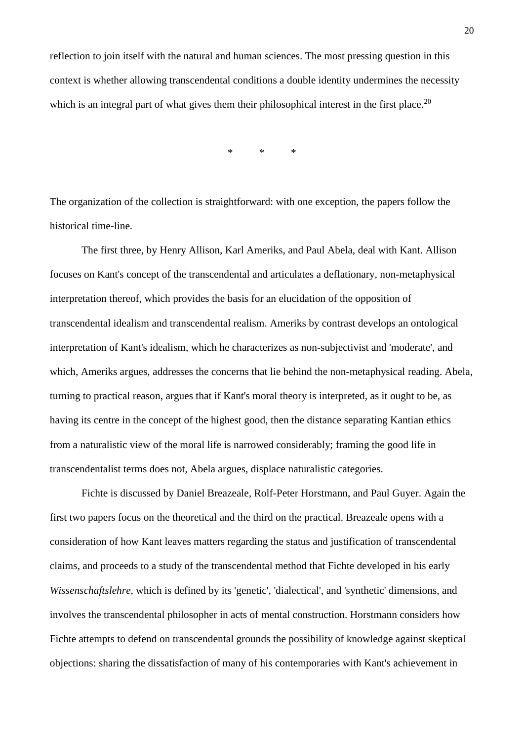reflection to join itself with the natural and human sciences. The most pressing question in this context is whether allowing transcendental conditions a double identity undermines the necessity which is an integral part of what gives them their philosophical interest in the first place.<sup>20</sup>

\* \* \*

The organization of the collection is straightforward: with one exception, the papers follow the historical time-line.

The first three, by Henry Allison, Karl Ameriks, and Paul Abela, deal with Kant. Allison focuses on Kant's concept of the transcendental and articulates a deflationary, non-metaphysical interpretation thereof, which provides the basis for an elucidation of the opposition of transcendental idealism and transcendental realism. Ameriks by contrast develops an ontological interpretation of Kant's idealism, which he characterizes as non-subjectivist and 'moderate', and which, Ameriks argues, addresses the concerns that lie behind the non-metaphysical reading. Abela, turning to practical reason, argues that if Kant's moral theory is interpreted, as it ought to be, as having its centre in the concept of the highest good, then the distance separating Kantian ethics from a naturalistic view of the moral life is narrowed considerably; framing the good life in transcendentalist terms does not, Abela argues, displace naturalistic categories.

Fichte is discussed by Daniel Breazeale, Rolf-Peter Horstmann, and Paul Guyer. Again the first two papers focus on the theoretical and the third on the practical. Breazeale opens with a consideration of how Kant leaves matters regarding the status and justification of transcendental claims, and proceeds to a study of the transcendental method that Fichte developed in his early *Wissenschaftslehre*, which is defined by its 'genetic', 'dialectical', and 'synthetic' dimensions, and involves the transcendental philosopher in acts of mental construction. Horstmann considers how Fichte attempts to defend on transcendental grounds the possibility of knowledge against skeptical objections: sharing the dissatisfaction of many of his contemporaries with Kant's achievement in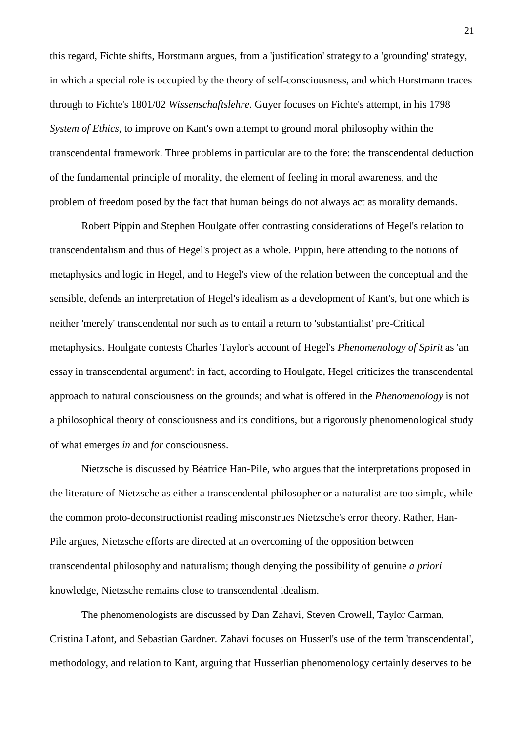this regard, Fichte shifts, Horstmann argues, from a 'justification' strategy to a 'grounding' strategy, in which a special role is occupied by the theory of self-consciousness, and which Horstmann traces through to Fichte's 1801/02 *Wissenschaftslehre*. Guyer focuses on Fichte's attempt, in his 1798 *System of Ethics*, to improve on Kant's own attempt to ground moral philosophy within the transcendental framework. Three problems in particular are to the fore: the transcendental deduction of the fundamental principle of morality, the element of feeling in moral awareness, and the problem of freedom posed by the fact that human beings do not always act as morality demands.

Robert Pippin and Stephen Houlgate offer contrasting considerations of Hegel's relation to transcendentalism and thus of Hegel's project as a whole. Pippin, here attending to the notions of metaphysics and logic in Hegel, and to Hegel's view of the relation between the conceptual and the sensible, defends an interpretation of Hegel's idealism as a development of Kant's, but one which is neither 'merely' transcendental nor such as to entail a return to 'substantialist' pre-Critical metaphysics. Houlgate contests Charles Taylor's account of Hegel's *Phenomenology of Spirit* as 'an essay in transcendental argument': in fact, according to Houlgate, Hegel criticizes the transcendental approach to natural consciousness on the grounds; and what is offered in the *Phenomenology* is not a philosophical theory of consciousness and its conditions, but a rigorously phenomenological study of what emerges *in* and *for* consciousness.

Nietzsche is discussed by Béatrice Han-Pile, who argues that the interpretations proposed in the literature of Nietzsche as either a transcendental philosopher or a naturalist are too simple, while the common proto-deconstructionist reading misconstrues Nietzsche's error theory. Rather, Han-Pile argues, Nietzsche efforts are directed at an overcoming of the opposition between transcendental philosophy and naturalism; though denying the possibility of genuine *a priori*  knowledge, Nietzsche remains close to transcendental idealism.

The phenomenologists are discussed by Dan Zahavi, Steven Crowell, Taylor Carman, Cristina Lafont, and Sebastian Gardner. Zahavi focuses on Husserl's use of the term 'transcendental', methodology, and relation to Kant, arguing that Husserlian phenomenology certainly deserves to be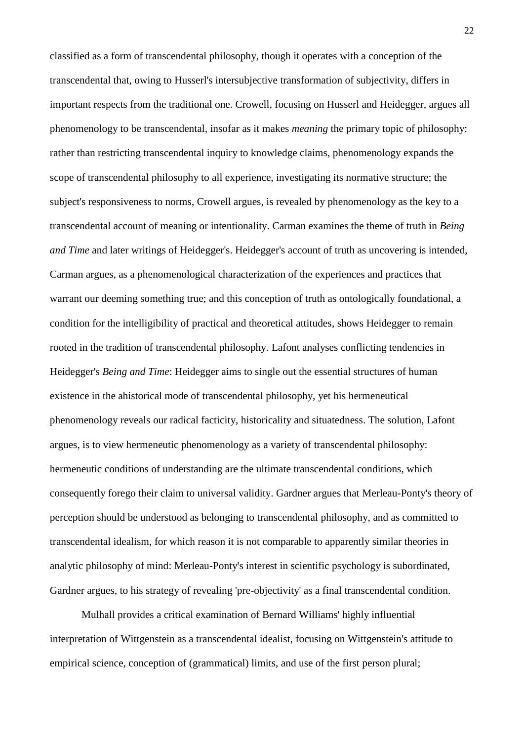classified as a form of transcendental philosophy, though it operates with a conception of the transcendental that, owing to Husserl's intersubjective transformation of subjectivity, differs in important respects from the traditional one. Crowell, focusing on Husserl and Heidegger, argues all phenomenology to be transcendental, insofar as it makes *meaning* the primary topic of philosophy: rather than restricting transcendental inquiry to knowledge claims, phenomenology expands the scope of transcendental philosophy to all experience, investigating its normative structure; the subject's responsiveness to norms, Crowell argues, is revealed by phenomenology as the key to a transcendental account of meaning or intentionality. Carman examines the theme of truth in *Being and Time* and later writings of Heidegger's. Heidegger's account of truth as uncovering is intended, Carman argues, as a phenomenological characterization of the experiences and practices that warrant our deeming something true; and this conception of truth as ontologically foundational, a condition for the intelligibility of practical and theoretical attitudes, shows Heidegger to remain rooted in the tradition of transcendental philosophy. Lafont analyses conflicting tendencies in Heidegger's *Being and Time*: Heidegger aims to single out the essential structures of human existence in the ahistorical mode of transcendental philosophy, yet his hermeneutical phenomenology reveals our radical facticity, historicality and situatedness. The solution, Lafont argues, is to view hermeneutic phenomenology as a variety of transcendental philosophy: hermeneutic conditions of understanding are the ultimate transcendental conditions, which consequently forego their claim to universal validity. Gardner argues that Merleau-Ponty's theory of perception should be understood as belonging to transcendental philosophy, and as committed to transcendental idealism, for which reason it is not comparable to apparently similar theories in analytic philosophy of mind: Merleau-Ponty's interest in scientific psychology is subordinated, Gardner argues, to his strategy of revealing 'pre-objectivity' as a final transcendental condition.

Mulhall provides a critical examination of Bernard Williams' highly influential interpretation of Wittgenstein as a transcendental idealist, focusing on Wittgenstein's attitude to empirical science, conception of (grammatical) limits, and use of the first person plural;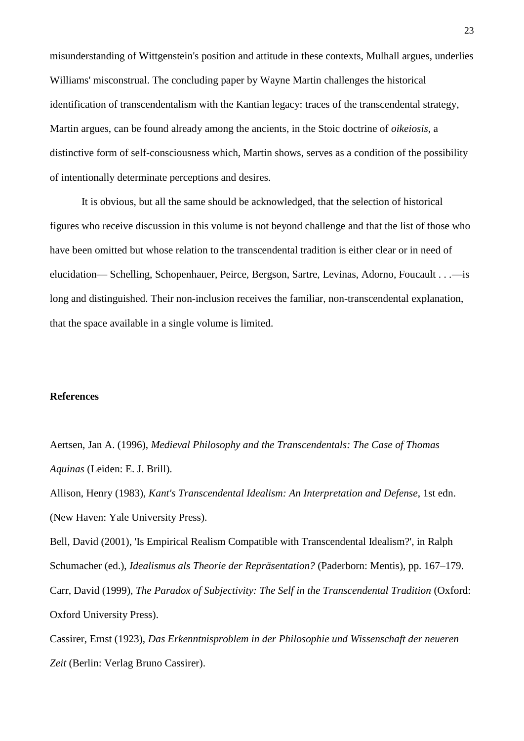misunderstanding of Wittgenstein's position and attitude in these contexts, Mulhall argues, underlies Williams' misconstrual. The concluding paper by Wayne Martin challenges the historical identification of transcendentalism with the Kantian legacy: traces of the transcendental strategy, Martin argues, can be found already among the ancients, in the Stoic doctrine of *oikeiosis*, a distinctive form of self-consciousness which, Martin shows, serves as a condition of the possibility of intentionally determinate perceptions and desires.

It is obvious, but all the same should be acknowledged, that the selection of historical figures who receive discussion in this volume is not beyond challenge and that the list of those who have been omitted but whose relation to the transcendental tradition is either clear or in need of elucidation— Schelling, Schopenhauer, Peirce, Bergson, Sartre, Levinas, Adorno, Foucault . . .—is long and distinguished. Their non-inclusion receives the familiar, non-transcendental explanation, that the space available in a single volume is limited.

# **References**

Aertsen, Jan A. (1996), *Medieval Philosophy and the Transcendentals: The Case of Thomas Aquinas* (Leiden: E. J. Brill).

Allison, Henry (1983), *Kant's Transcendental Idealism: An Interpretation and Defense*, 1st edn. (New Haven: Yale University Press).

Bell, David (2001), 'Is Empirical Realism Compatible with Transcendental Idealism?', in Ralph Schumacher (ed.), *Idealismus als Theorie der Repräsentation?* (Paderborn: Mentis), pp. 167–179. Carr, David (1999), *The Paradox of Subjectivity: The Self in the Transcendental Tradition* (Oxford: Oxford University Press).

Cassirer, Ernst (1923), *Das Erkenntnisproblem in der Philosophie und Wissenschaft der neueren Zeit* (Berlin: Verlag Bruno Cassirer).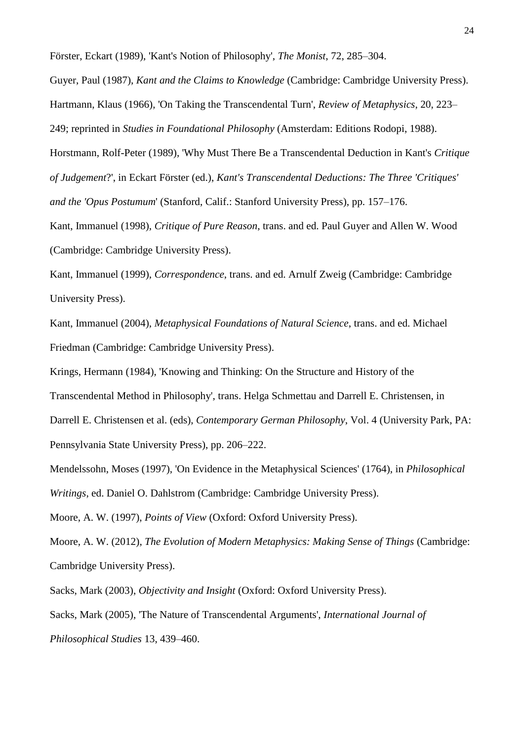Förster, Eckart (1989), 'Kant's Notion of Philosophy', *The Monist*, 72, 285–304.

Guyer, Paul (1987), *Kant and the Claims to Knowledge* (Cambridge: Cambridge University Press).

Hartmann, Klaus (1966), 'On Taking the Transcendental Turn', *Review of Metaphysics*, 20, 223–

249; reprinted in *Studies in Foundational Philosophy* (Amsterdam: Editions Rodopi, 1988).

Horstmann, Rolf-Peter (1989), 'Why Must There Be a Transcendental Deduction in Kant's *Critique* 

*of Judgement*?', in Eckart Förster (ed.), *Kant's Transcendental Deductions: The Three 'Critiques'* 

*and the 'Opus Postumum*' (Stanford, Calif.: Stanford University Press), pp. 157–176.

Kant, Immanuel (1998), *Critique of Pure Reason*, trans. and ed. Paul Guyer and Allen W. Wood (Cambridge: Cambridge University Press).

Kant, Immanuel (1999), *Correspondence*, trans. and ed. Arnulf Zweig (Cambridge: Cambridge University Press).

Kant, Immanuel (2004), *Metaphysical Foundations of Natural Science*, trans. and ed. Michael Friedman (Cambridge: Cambridge University Press).

Krings, Hermann (1984), 'Knowing and Thinking: On the Structure and History of the Transcendental Method in Philosophy', trans. Helga Schmettau and Darrell E. Christensen, in Darrell E. Christensen et al. (eds), *Contemporary German Philosophy*, Vol. 4 (University Park, PA: Pennsylvania State University Press), pp. 206–222.

Mendelssohn, Moses (1997), 'On Evidence in the Metaphysical Sciences' (1764), in *Philosophical Writings*, ed. Daniel O. Dahlstrom (Cambridge: Cambridge University Press).

Moore, A. W. (1997), *Points of View* (Oxford: Oxford University Press).

Moore, A. W. (2012), *The Evolution of Modern Metaphysics: Making Sense of Things* (Cambridge: Cambridge University Press).

Sacks, Mark (2003), *Objectivity and Insight* (Oxford: Oxford University Press).

Sacks, Mark (2005), 'The Nature of Transcendental Arguments', *International Journal of Philosophical Studies* 13, 439–460.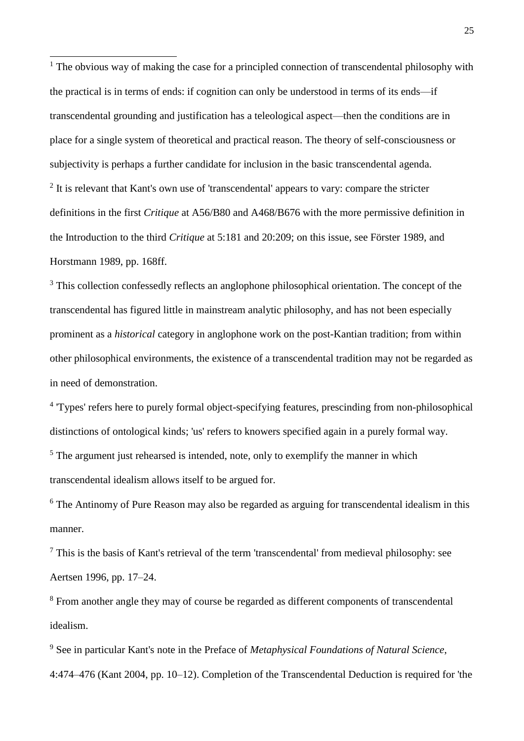<sup>1</sup> The obvious way of making the case for a principled connection of transcendental philosophy with the practical is in terms of ends: if cognition can only be understood in terms of its ends—if transcendental grounding and justification has a teleological aspect—then the conditions are in place for a single system of theoretical and practical reason. The theory of self-consciousness or subjectivity is perhaps a further candidate for inclusion in the basic transcendental agenda.  $2$  It is relevant that Kant's own use of 'transcendental' appears to vary: compare the stricter definitions in the first *Critique* at A56/B80 and A468/B676 with the more permissive definition in the Introduction to the third *Critique* at 5:181 and 20:209; on this issue, see Förster 1989, and Horstmann 1989, pp. 168ff.

1

 $3$  This collection confessedly reflects an anglophone philosophical orientation. The concept of the transcendental has figured little in mainstream analytic philosophy, and has not been especially prominent as a *historical* category in anglophone work on the post-Kantian tradition; from within other philosophical environments, the existence of a transcendental tradition may not be regarded as in need of demonstration.

<sup>4</sup> "Types' refers here to purely formal object-specifying features, prescinding from non-philosophical distinctions of ontological kinds; 'us' refers to knowers specified again in a purely formal way. <sup>5</sup> The argument just rehearsed is intended, note, only to exemplify the manner in which transcendental idealism allows itself to be argued for.

<sup>6</sup> The Antinomy of Pure Reason may also be regarded as arguing for transcendental idealism in this manner.

 $<sup>7</sup>$  This is the basis of Kant's retrieval of the term 'transcendental' from medieval philosophy: see</sup> Aertsen 1996, pp. 17–24.

<sup>8</sup> From another angle they may of course be regarded as different components of transcendental idealism.

<sup>9</sup> See in particular Kant's note in the Preface of *Metaphysical Foundations of Natural Science*, 4:474–476 (Kant 2004, pp. 10–12). Completion of the Transcendental Deduction is required for 'the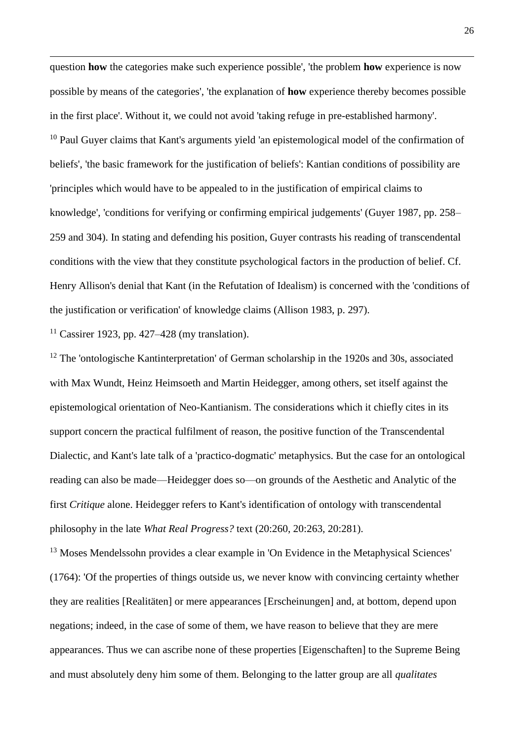question **how** the categories make such experience possible', 'the problem **how** experience is now possible by means of the categories', 'the explanation of **how** experience thereby becomes possible in the first place'. Without it, we could not avoid 'taking refuge in pre-established harmony'. <sup>10</sup> Paul Guyer claims that Kant's arguments yield 'an epistemological model of the confirmation of beliefs', 'the basic framework for the justification of beliefs': Kantian conditions of possibility are 'principles which would have to be appealed to in the justification of empirical claims to knowledge', 'conditions for verifying or confirming empirical judgements' (Guyer 1987, pp. 258– 259 and 304). In stating and defending his position, Guyer contrasts his reading of transcendental conditions with the view that they constitute psychological factors in the production of belief. Cf. Henry Allison's denial that Kant (in the Refutation of Idealism) is concerned with the 'conditions of the justification or verification' of knowledge claims (Allison 1983, p. 297).

 $11$  Cassirer 1923, pp. 427–428 (my translation).

1

 $12$  The 'ontologische Kantinterpretation' of German scholarship in the 1920s and 30s, associated with Max Wundt, Heinz Heimsoeth and Martin Heidegger, among others, set itself against the epistemological orientation of Neo-Kantianism. The considerations which it chiefly cites in its support concern the practical fulfilment of reason, the positive function of the Transcendental Dialectic, and Kant's late talk of a 'practico-dogmatic' metaphysics. But the case for an ontological reading can also be made—Heidegger does so—on grounds of the Aesthetic and Analytic of the first *Critique* alone. Heidegger refers to Kant's identification of ontology with transcendental philosophy in the late *What Real Progress?* text (20:260, 20:263, 20:281).

<sup>13</sup> Moses Mendelssohn provides a clear example in 'On Evidence in the Metaphysical Sciences' (1764): 'Of the properties of things outside us, we never know with convincing certainty whether they are realities [Realitäten] or mere appearances [Erscheinungen] and, at bottom, depend upon negations; indeed, in the case of some of them, we have reason to believe that they are mere appearances. Thus we can ascribe none of these properties [Eigenschaften] to the Supreme Being and must absolutely deny him some of them. Belonging to the latter group are all *qualitates*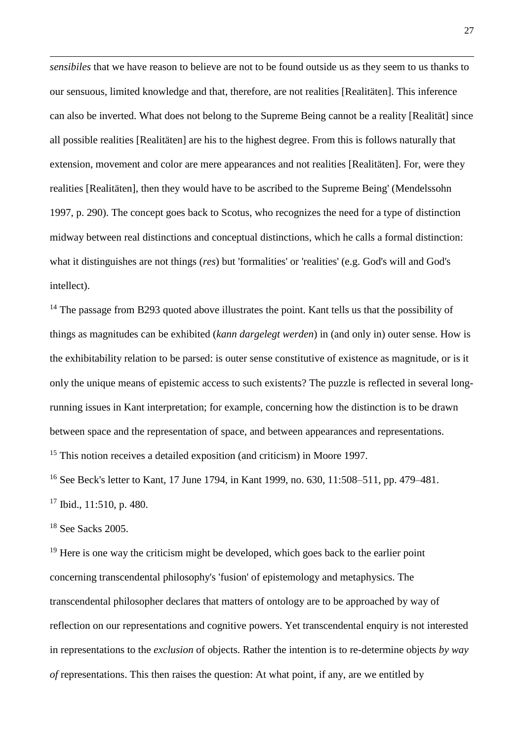*sensibiles* that we have reason to believe are not to be found outside us as they seem to us thanks to our sensuous, limited knowledge and that, therefore, are not realities [Realitäten]. This inference can also be inverted. What does not belong to the Supreme Being cannot be a reality [Realität] since all possible realities [Realitäten] are his to the highest degree. From this is follows naturally that extension, movement and color are mere appearances and not realities [Realitäten]. For, were they realities [Realitäten], then they would have to be ascribed to the Supreme Being' (Mendelssohn 1997, p. 290). The concept goes back to Scotus, who recognizes the need for a type of distinction midway between real distinctions and conceptual distinctions, which he calls a formal distinction: what it distinguishes are not things (*res*) but 'formalities' or 'realities' (e.g. God's will and God's intellect).

<sup>14</sup> The passage from B293 quoted above illustrates the point. Kant tells us that the possibility of things as magnitudes can be exhibited (*kann dargelegt werden*) in (and only in) outer sense. How is the exhibitability relation to be parsed: is outer sense constitutive of existence as magnitude, or is it only the unique means of epistemic access to such existents? The puzzle is reflected in several longrunning issues in Kant interpretation; for example, concerning how the distinction is to be drawn between space and the representation of space, and between appearances and representations. <sup>15</sup> This notion receives a detailed exposition (and criticism) in Moore 1997.

<sup>16</sup> See Beck's letter to Kant, 17 June 1794, in Kant 1999, no. 630, 11:508–511, pp. 479–481.  $17$  Ibid., 11:510, p. 480.

<sup>18</sup> See Sacks 2005.

1

 $19$  Here is one way the criticism might be developed, which goes back to the earlier point concerning transcendental philosophy's 'fusion' of epistemology and metaphysics. The transcendental philosopher declares that matters of ontology are to be approached by way of reflection on our representations and cognitive powers. Yet transcendental enquiry is not interested in representations to the *exclusion* of objects. Rather the intention is to re-determine objects *by way of* representations. This then raises the question: At what point, if any, are we entitled by